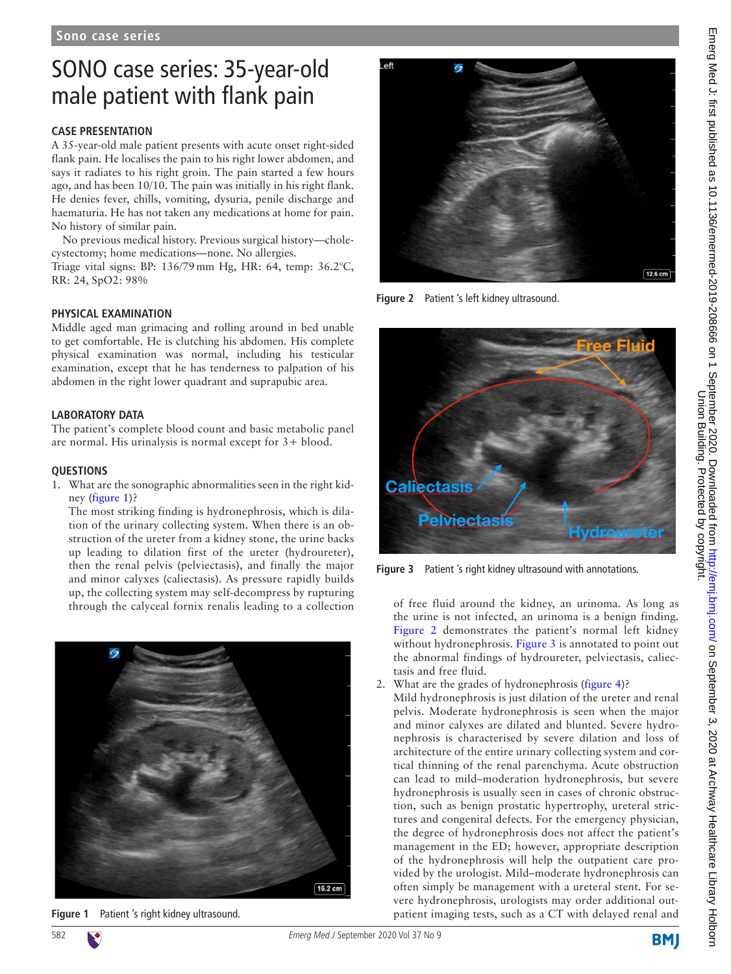# SONO case series: 35-year-old male patient with flank pain

## **Case presentation**

A 35-year-old male patient presents with acute onset right-sided flank pain. He localises the pain to his right lower abdomen, and says it radiates to his right groin. The pain started a few hours ago, and has been 10/10. The pain was initially in his right flank. He denies fever, chills, vomiting, dysuria, penile discharge and haematuria. He has not taken any medications at home for pain. No history of similar pain.

No previous medical history. Previous surgical history—cholecystectomy; home medications—none. No allergies.

Triage vital signs: BP: 136/79mm Hg, HR: 64, temp: 36.2°C, RR: 24, SpO2: 98%

### **Physical examination**

Middle aged man grimacing and rolling around in bed unable to get comfortable. He is clutching his abdomen. His complete physical examination was normal, including his testicular examination, except that he has tenderness to palpation of his abdomen in the right lower quadrant and suprapubic area.

### **Laboratory data**

The patient's complete blood count and basic metabolic panel are normal. His urinalysis is normal except for 3+ blood.

#### **Questions**

1. What are the sonographic abnormalities seen in the right kidney [\(figure](#page-0-0) 1)?

The most striking finding is hydronephrosis, which is dilation of the urinary collecting system. When there is an obstruction of the ureter from a kidney stone, the urine backs up leading to dilation first of the ureter (hydroureter), then the renal pelvis (pelviectasis), and finally the major and minor calyxes (caliectasis). As pressure rapidly builds up, the collecting system may self-decompress by rupturing through the calyceal fornix renalis leading to a collection of free fluid around the kidney, an urinoma. As long as



<span id="page-0-0"></span>



**Figure 2** Patient 's left kidney ultrasound.

<span id="page-0-1"></span>

**Figure 3** Patient 's right kidney ultrasound with annotations.

<span id="page-0-2"></span>the urine is not infected, an urinoma is a benign finding. [Figure](#page-0-1) 2 demonstrates the patient's normal left kidney without hydronephrosis. [Figure](#page-0-2) 3 is annotated to point out the abnormal findings of hydroureter, pelviectasis, caliectasis and free fluid.

- 2. What are the grades of hydronephrosis [\(figure](#page-1-0) 4)?
- Mild hydronephrosis is just dilation of the ureter and renal pelvis. Moderate hydronephrosis is seen when the major and minor calyxes are dilated and blunted. Severe hydronephrosis is characterised by severe dilation and loss of architecture of the entire urinary collecting system and cortical thinning of the renal parenchyma. Acute obstruction can lead to mild–moderation hydronephrosis, but severe hydronephrosis is usually seen in cases of chronic obstruction, such as benign prostatic hypertrophy, ureteral strictures and congenital defects. For the emergency physician, the degree of hydronephrosis does not affect the patient's management in the ED; however, appropriate description of the hydronephrosis will help the outpatient care provided by the urologist. Mild–moderate hydronephrosis can often simply be management with a ureteral stent. For severe hydronephrosis, urologists may order additional outpatient imaging tests, such as a CT with delayed renal and

**BMJ**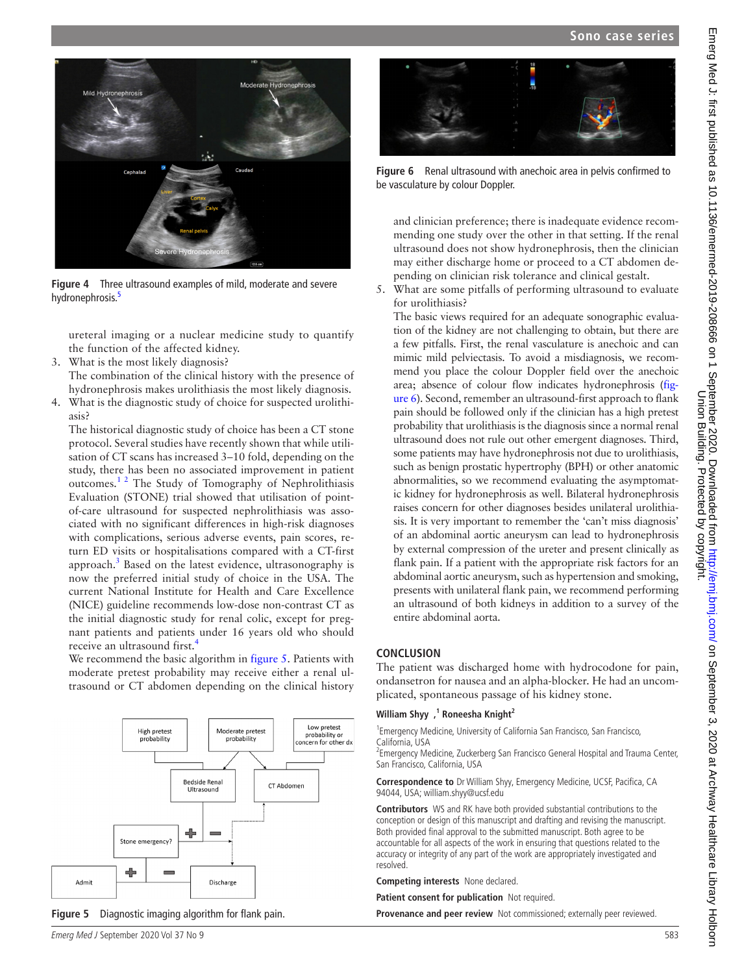

**Figure 4** Three ultrasound examples of mild, moderate and severe hydronephrosis.<sup>[5](#page-2-3)</sup>

<span id="page-1-0"></span>ureteral imaging or a nuclear medicine study to quantify the function of the affected [k](#page-1-0)idney.

- 3. What is the most likely diagnosis? The combination of the clinical history with the presence of hydronephrosis makes urolithiasis the most likely diagnosis.
- 4. What is the diagnostic study of choice for suspected urolithiasis?

The historical diagnostic study of choice has been a CT stone protocol. Several studies have recently shown that while utilisation of CT scans has increased 3–10 fold, depending on the study, there has been no associated improvement in patient outcomes.[1 2](#page-2-0) The Study of Tomography of Nephrolithiasis Evaluation (STONE) trial showed that utilisation of pointof-care ultrasound for suspected nephrolithiasis was associated with no significant differences in high-risk diagnoses with complications, serious adverse events, pain scores, return ED visits or hospitalisations compared with a CT-first approach.<sup>3</sup> Based on the latest evidence, ultrasonography is now the preferred initial study of choice in the USA. The current National Institute for Health and Care Excellence (NICE) guideline recommends low-dose non-contrast CT as the initial diagnostic study for renal colic, except for pregnant patients and patients under 16 years old who should receive an ultrasound first.<sup>[4](#page-2-2)</sup>

We recommend the basic algorithm in [figure](#page-1-1) 5. Patients with moderate pretest probability may receive either a renal ultrasound or CT abdomen depending on the clinical history



<span id="page-1-1"></span>



**Figure 6** Renal ultrasound with anechoic area in pelvis confirmed to be vasculature by colour Doppler.

<span id="page-1-2"></span>and clinician preference; there is inadequate evidence recommending one study over the other in that setting. If the renal ultrasound does not show hydronephrosis, then the clinician may either discharge home or proceed to a CT abdomen depending on clinician risk tolerance and clinical gestalt.

5. What are some pitfalls of performing ultrasound to evaluate for urolithiasis?

The basic views required for an adequate sonographic evaluation of the kidney are not challenging to obtain, but there are a few pitfalls. First, the renal vasculature is anechoic and can mimic mild pelviectasis. To avoid a misdiagnosis, we recommend you place the colour Doppler field over the anechoic area; absence of colour flow indicates hydronephrosis ([fig](#page-1-2)[ure](#page-1-2) 6). Second, remember an ultrasound-first approach to flank pain should be followed only if the clinician has a high pretest probability that urolithiasis is the diagnosis since a normal renal ultrasound does not rule out other emergent diagnoses. Third, some patients may have hydronephrosis not due to urolithiasis, such as benign prostatic hypertrophy (BPH) or other anatomic abnormalities, so we recommend evaluating the asymptomatic kidney for hydronephrosis as well. Bilateral hydronephrosis raises concern for other diagnoses besides unilateral urolithiasis. It is very important to remember the 'can't miss diagnosis' of an abdominal aortic aneurysm can lead to hydronephrosis by external compression of the ureter and present clinically as flank pain. If a patient with the appropriate risk factors for an abdominal aortic aneurysm, such as hypertension and smoking, presents with unilateral flank pain, we recommend performing an ultrasound of both kidneys in addition to a survey of the entire abdominal aorta.

#### **Conclusion**

The patient was discharged home with hydrocodone for pain, ondansetron for nausea and an alpha-blocker. He had an uncomplicated, spontaneous passage of his kidney stone.

#### **William Shyy ,1 Roneesha Knight2**

<sup>1</sup> Emergency Medicine, University of California San Francisco, San Francisco, California, USA

<sup>2</sup> Emergency Medicine, Zuckerberg San Francisco General Hospital and Trauma Center, San Francisco, California, USA

**Correspondence to** Dr William Shyy, Emergency Medicine, UCSF, Pacifica, CA 94044, USA; william.shyy@ucsf.edu

**Contributors** WS and RK have both provided substantial contributions to the conception or design of this manuscript and drafting and revising the manuscript. Both provided final approval to the submitted manuscript. Both agree to be accountable for all aspects of the work in ensuring that questions related to the accuracy or integrity of any part of the work are appropriately investigated and resolved.

**Competing interests** None declared.

**Patient consent for publication** Not required.

**Provenance and peer review** Not commissioned; externally peer reviewed.